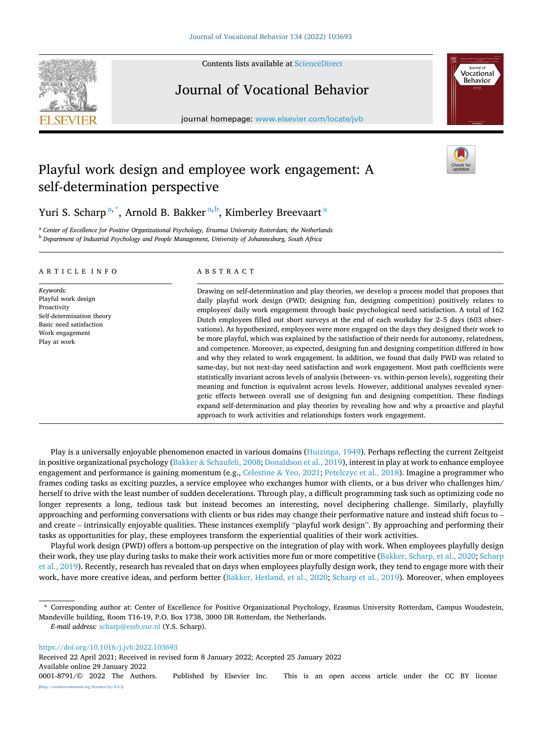Contents lists available at [ScienceDirect](www.sciencedirect.com/science/journal/00018791)



Journal of Vocational Behavior

journal homepage: [www.elsevier.com/locate/jvb](https://www.elsevier.com/locate/jvb)



# Playful work design and employee work engagement: A self-determination perspective



Yuri S. Scharp<sup>a,\*</sup>, Arnold B. Bakker<sup>a,b</sup>, Kimberley Breevaart<sup>a</sup>

<sup>a</sup> *Center of Excellence for Positive Organizational Psychology, Erasmus University Rotterdam, the Netherlands* <sup>b</sup> *Department of Industrial Psychology and People Management, University of Johannesburg, South Africa* 

# ARTICLE INFO

*Keywords:*  Playful work design Proactivity Self-determination theory Basic need satisfaction Work engagement Play at work

#### ABSTRACT

Drawing on self-determination and play theories, we develop a process model that proposes that daily playful work design (PWD; designing fun, designing competition) positively relates to employees' daily work engagement through basic psychological need satisfaction. A total of 162 Dutch employees filled out short surveys at the end of each workday for 2–5 days (603 observations). As hypothesized, employees were more engaged on the days they designed their work to be more playful, which was explained by the satisfaction of their needs for autonomy, relatedness, and competence. Moreover, as expected, designing fun and designing competition differed in how and why they related to work engagement. In addition, we found that daily PWD was related to same-day, but not next-day need satisfaction and work engagement. Most path coefficients were statistically invariant across levels of analysis (between- vs. within-person levels), suggesting their meaning and function is equivalent across levels. However, additional analyses revealed synergetic effects between overall use of designing fun and designing competition. These findings expand self-determination and play theories by revealing how and why a proactive and playful approach to work activities and relationships fosters work engagement.

Play is a universally enjoyable phenomenon enacted in various domains ([Huizinga, 1949\)](#page-13-0). Perhaps reflecting the current Zeitgeist in positive organizational psychology (Bakker & [Schaufeli, 2008; Donaldson et al., 2019](#page-13-0)), interest in play at work to enhance employee engagement and performance is gaining momentum (e.g., Celestine & [Yeo, 2021](#page-13-0); [Petelczyc et al., 2018](#page-14-0)). Imagine a programmer who frames coding tasks as exciting puzzles, a service employee who exchanges humor with clients, or a bus driver who challenges him/ herself to drive with the least number of sudden decelerations. Through play, a difficult programming task such as optimizing code no longer represents a long, tedious task but instead becomes an interesting, novel deciphering challenge. Similarly, playfully approaching and performing conversations with clients or bus rides may change their performative nature and instead shift focus to – and create – intrinsically enjoyable qualities. These instances exemplify "playful work design". By approaching and performing their tasks as opportunities for play, these employees transform the experiential qualities of their work activities.

Playful work design (PWD) offers a bottom-up perspective on the integration of play with work. When employees playfully design their work, they use play during tasks to make their work activities more fun or more competitive ([Bakker, Scharp, et al., 2020](#page-13-0); [Scharp](#page-14-0) [et al., 2019](#page-14-0)). Recently, research has revealed that on days when employees playfully design work, they tend to engage more with their work, have more creative ideas, and perform better ([Bakker, Hetland, et al., 2020;](#page-13-0) [Scharp et al., 2019](#page-14-0)). Moreover, when employees

<https://doi.org/10.1016/j.jvb.2022.103693>

Received 22 April 2021; Received in revised form 8 January 2022; Accepted 25 January 2022

Available online 29 January 2022

<sup>\*</sup> Corresponding author at: Center of Excellence for Positive Organizational Psychology, Erasmus University Rotterdam, Campus Woudestein, Mandeville building, Room T16-19, P.O. Box 1738, 3000 DR Rotterdam, the Netherlands.

*E-mail address:* [scharp@essb.eur.nl](mailto:scharp@essb.eur.nl) (Y.S. Scharp).

<sup>0001-8791/© 2022</sup> The Authors. Published by Elsevier Inc. This is an open access article under the CC BY license [\(http://creativecommons.org/licenses/by/4.0/\)](http://creativecommons.org/licenses/by/4.0/).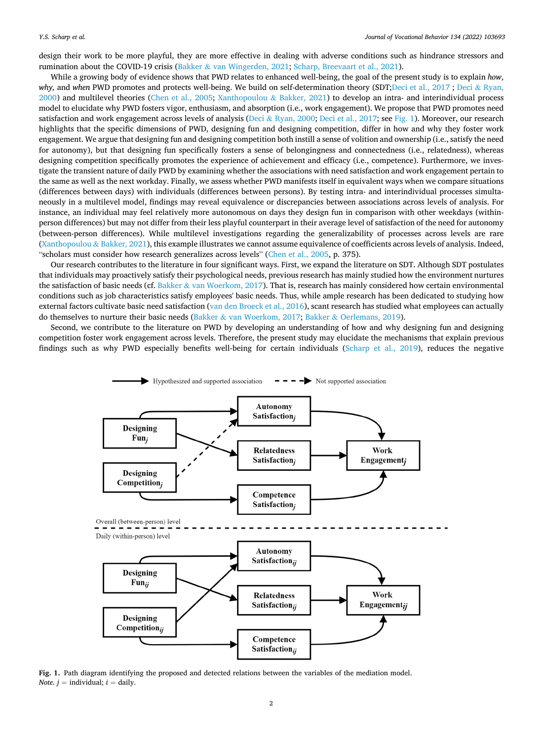design their work to be more playful, they are more effective in dealing with adverse conditions such as hindrance stressors and rumination about the COVID-19 crisis (Bakker & [van Wingerden, 2021](#page-13-0); [Scharp, Breevaart et al., 2021\)](#page-14-0).

While a growing body of evidence shows that PWD relates to enhanced well-being, the goal of the present study is to explain *how*, *why, and when PWD promotes and protects well-being. We build on self-determination theory (SDT[;Deci et al., 2017](#page-13-0); Deci & [Ryan,](#page-13-0)* [2000\)](#page-13-0) and multilevel theories [\(Chen et al., 2005](#page-13-0); [Xanthopoulou](#page-14-0) & Bakker, 2021) to develop an intra- and interindividual process model to elucidate why PWD fosters vigor, enthusiasm, and absorption (i.e., work engagement). We propose that PWD promotes need satisfaction and work engagement across levels of analysis (Deci & [Ryan, 2000](#page-13-0); [Deci et al., 2017](#page-13-0); see Fig. 1). Moreover, our research highlights that the specific dimensions of PWD, designing fun and designing competition, differ in how and why they foster work engagement. We argue that designing fun and designing competition both instill a sense of volition and ownership (i.e., satisfy the need for autonomy), but that designing fun specifically fosters a sense of belongingness and connectedness (i.e., relatedness), whereas designing competition specifically promotes the experience of achievement and efficacy (i.e., competence). Furthermore, we investigate the transient nature of daily PWD by examining whether the associations with need satisfaction and work engagement pertain to the same as well as the next workday. Finally, we assess whether PWD manifests itself in equivalent ways when we compare situations (differences between days) with individuals (differences between persons). By testing intra- and interindividual processes simultaneously in a multilevel model, findings may reveal equivalence or discrepancies between associations across levels of analysis. For instance, an individual may feel relatively more autonomous on days they design fun in comparison with other weekdays (withinperson differences) but may not differ from their less playful counterpart in their average level of satisfaction of the need for autonomy (between-person differences). While multilevel investigations regarding the generalizability of processes across levels are rare [\(Xanthopoulou](#page-14-0) & Bakker, 2021), this example illustrates we cannot assume equivalence of coefficients across levels of analysis. Indeed, "scholars must consider how research generalizes across levels" ([Chen et al., 2005,](#page-13-0) p. 375).

Our research contributes to the literature in four significant ways. First, we expand the literature on SDT. Although SDT postulates that individuals may proactively satisfy their psychological needs, previous research has mainly studied how the environment nurtures the satisfaction of basic needs (cf. Bakker & [van Woerkom, 2017\)](#page-13-0). That is, research has mainly considered how certain environmental conditions such as job characteristics satisfy employees' basic needs. Thus, while ample research has been dedicated to studying how external factors cultivate basic need satisfaction ([van den Broeck et al., 2016](#page-14-0)), scant research has studied what employees can actually do themselves to nurture their basic needs (Bakker & [van Woerkom, 2017;](#page-13-0) Bakker & [Oerlemans, 2019\)](#page-13-0).

Second, we contribute to the literature on PWD by developing an understanding of how and why designing fun and designing competition foster work engagement across levels. Therefore, the present study may elucidate the mechanisms that explain previous findings such as why PWD especially benefits well-being for certain individuals ([Scharp et al., 2019](#page-14-0)), reduces the negative



**Fig. 1.** Path diagram identifying the proposed and detected relations between the variables of the mediation model. *Note.*  $j =$  individual;  $i =$  daily.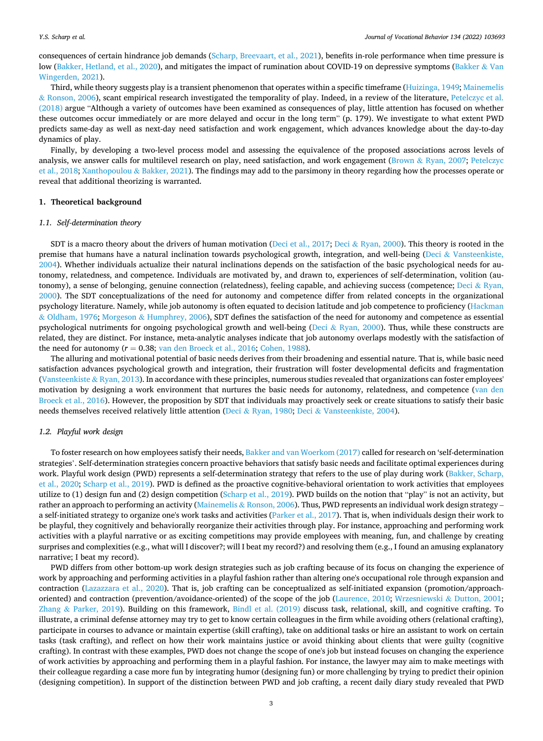consequences of certain hindrance job demands [\(Scharp, Breevaart, et al., 2021](#page-14-0)), benefits in-role performance when time pressure is low [\(Bakker, Hetland, et al., 2020](#page-13-0)), and mitigates the impact of rumination about COVID-19 on depressive symptoms [\(Bakker](#page-13-0) & Van [Wingerden, 2021](#page-13-0)).

Third, while theory suggests play is a transient phenomenon that operates within a specific timeframe [\(Huizinga, 1949;](#page-13-0) [Mainemelis](#page-14-0) & [Ronson, 2006](#page-14-0)), scant empirical research investigated the temporality of play. Indeed, in a review of the literature, [Petelczyc et al.](#page-14-0) [\(2018\)](#page-14-0) argue "Although a variety of outcomes have been examined as consequences of play, little attention has focused on whether these outcomes occur immediately or are more delayed and occur in the long term" (p. 179). We investigate to what extent PWD predicts same-day as well as next-day need satisfaction and work engagement, which advances knowledge about the day-to-day dynamics of play.

Finally, by developing a two-level process model and assessing the equivalence of the proposed associations across levels of analysis, we answer calls for multilevel research on play, need satisfaction, and work engagement (Brown & [Ryan, 2007;](#page-13-0) [Petelczyc](#page-14-0) [et al., 2018](#page-14-0); [Xanthopoulou](#page-14-0) & Bakker, 2021). The findings may add to the parsimony in theory regarding how the processes operate or reveal that additional theorizing is warranted.

# **1. Theoretical background**

## *1.1. Self-determination theory*

SDT is a macro theory about the drivers of human motivation [\(Deci et al., 2017](#page-13-0); Deci & [Ryan, 2000](#page-13-0)). This theory is rooted in the premise that humans have a natural inclination towards psychological growth, integration, and well-being (Deci & [Vansteenkiste,](#page-13-0) [2004\)](#page-13-0). Whether individuals actualize their natural inclinations depends on the satisfaction of the basic psychological needs for autonomy, relatedness, and competence. Individuals are motivated by, and drawn to, experiences of self-determination, volition (au-tonomy), a sense of belonging, genuine connection (relatedness), feeling capable, and achieving success (competence; Deci & [Ryan,](#page-13-0) [2000\)](#page-13-0). The SDT conceptualizations of the need for autonomy and competence differ from related concepts in the organizational psychology literature. Namely, while job autonomy is often equated to decision latitude and job competence to proficiency ([Hackman](#page-13-0) & [Oldham, 1976;](#page-13-0) Morgeson & [Humphrey, 2006\)](#page-14-0), SDT defines the satisfaction of the need for autonomy and competence as essential psychological nutriments for ongoing psychological growth and well-being (Deci & [Ryan, 2000\)](#page-13-0). Thus, while these constructs are related, they are distinct. For instance, meta-analytic analyses indicate that job autonomy overlaps modestly with the satisfaction of the need for autonomy ( $r = 0.38$ ; [van den Broeck et al., 2016;](#page-14-0) [Cohen, 1988](#page-13-0)).

The alluring and motivational potential of basic needs derives from their broadening and essential nature. That is, while basic need satisfaction advances psychological growth and integration, their frustration will foster developmental deficits and fragmentation [\(Vansteenkiste](#page-14-0) & Ryan, 2013). In accordance with these principles, numerous studies revealed that organizations can foster employees' motivation by designing a work environment that nurtures the basic needs for autonomy, relatedness, and competence [\(van den](#page-14-0) [Broeck et al., 2016](#page-14-0)). However, the proposition by SDT that individuals may proactively seek or create situations to satisfy their basic needs themselves received relatively little attention (Deci & [Ryan, 1980](#page-13-0); Deci & [Vansteenkiste, 2004\)](#page-13-0).

## *1.2. Playful work design*

To foster research on how employees satisfy their needs, [Bakker and van Woerkom \(2017\)](#page-13-0) called for research on 'self-determination strategies'. Self-determination strategies concern proactive behaviors that satisfy basic needs and facilitate optimal experiences during work. Playful work design (PWD) represents a self-determination strategy that refers to the use of play during work [\(Bakker, Scharp,](#page-13-0) [et al., 2020](#page-13-0); [Scharp et al., 2019\)](#page-14-0). PWD is defined as the proactive cognitive-behavioral orientation to work activities that employees utilize to (1) design fun and (2) design competition ([Scharp et al., 2019\)](#page-14-0). PWD builds on the notion that "play" is not an activity, but rather an approach to performing an activity (Mainemelis & [Ronson, 2006](#page-14-0)). Thus, PWD represents an individual work design strategy a self-initiated strategy to organize one's work tasks and activities ([Parker et al., 2017](#page-14-0)). That is, when individuals design their work to be playful, they cognitively and behaviorally reorganize their activities through play. For instance, approaching and performing work activities with a playful narrative or as exciting competitions may provide employees with meaning, fun, and challenge by creating surprises and complexities (e.g., what will I discover?; will I beat my record?) and resolving them (e.g., I found an amusing explanatory narrative; I beat my record).

PWD differs from other bottom-up work design strategies such as job crafting because of its focus on changing the experience of work by approaching and performing activities in a playful fashion rather than altering one's occupational role through expansion and contraction [\(Lazazzara et al., 2020](#page-13-0)). That is, job crafting can be conceptualized as self-initiated expansion (promotion/approachoriented) and contraction (prevention/avoidance-oriented) of the scope of the job ([Laurence, 2010](#page-13-0); [Wrzesniewski](#page-14-0) & Dutton, 2001; Zhang & [Parker, 2019](#page-14-0)). Building on this framework, Bindl et al.  $(2019)$  discuss task, relational, skill, and cognitive crafting. To illustrate, a criminal defense attorney may try to get to know certain colleagues in the firm while avoiding others (relational crafting), participate in courses to advance or maintain expertise (skill crafting), take on additional tasks or hire an assistant to work on certain tasks (task crafting), and reflect on how their work maintains justice or avoid thinking about clients that were guilty (cognitive crafting). In contrast with these examples, PWD does not change the scope of one's job but instead focuses on changing the experience of work activities by approaching and performing them in a playful fashion. For instance, the lawyer may aim to make meetings with their colleague regarding a case more fun by integrating humor (designing fun) or more challenging by trying to predict their opinion (designing competition). In support of the distinction between PWD and job crafting, a recent daily diary study revealed that PWD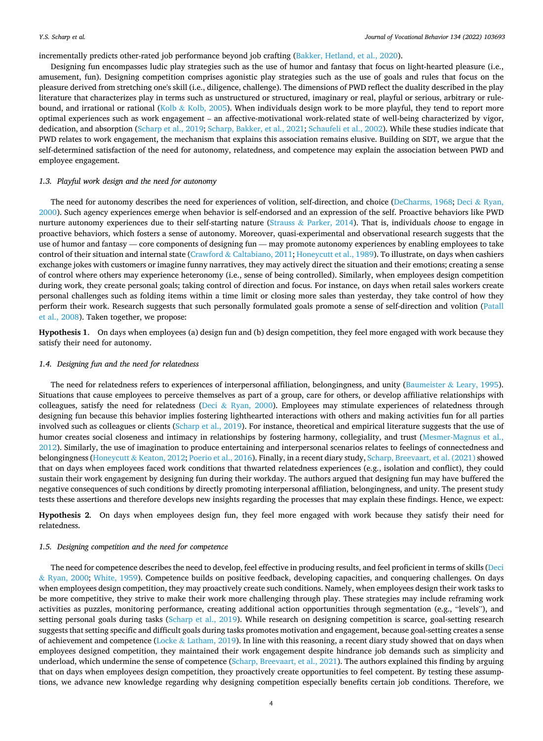#### <span id="page-3-0"></span>incrementally predicts other-rated job performance beyond job crafting [\(Bakker, Hetland, et al., 2020\)](#page-13-0).

Designing fun encompasses ludic play strategies such as the use of humor and fantasy that focus on light-hearted pleasure (i.e., amusement, fun). Designing competition comprises agonistic play strategies such as the use of goals and rules that focus on the pleasure derived from stretching one's skill (i.e., diligence, challenge). The dimensions of PWD reflect the duality described in the play literature that characterizes play in terms such as unstructured or structured, imaginary or real, playful or serious, arbitrary or rulebound, and irrational or rational (Kolb & [Kolb, 2005\)](#page-13-0). When individuals design work to be more playful, they tend to report more optimal experiences such as work engagement – an affective-motivational work-related state of well-being characterized by vigor, dedication, and absorption [\(Scharp et al., 2019](#page-14-0); [Scharp, Bakker, et al., 2021](#page-14-0); [Schaufeli et al., 2002\)](#page-14-0). While these studies indicate that PWD relates to work engagement, the mechanism that explains this association remains elusive. Building on SDT, we argue that the self-determined satisfaction of the need for autonomy, relatedness, and competence may explain the association between PWD and employee engagement.

# *1.3. Playful work design and the need for autonomy*

The need for autonomy describes the need for experiences of volition, self-direction, and choice [\(DeCharms, 1968;](#page-13-0) Deci & [Ryan,](#page-13-0) [2000\)](#page-13-0). Such agency experiences emerge when behavior is self-endorsed and an expression of the self. Proactive behaviors like PWD nurture autonomy experiences due to their self-starting nature (Strauss & [Parker, 2014](#page-14-0)). That is, individuals *choose* to engage in proactive behaviors, which fosters a sense of autonomy. Moreover, quasi-experimental and observational research suggests that the use of humor and fantasy — core components of designing fun — may promote autonomy experiences by enabling employees to take control of their situation and internal state (Crawford & [Caltabiano, 2011](#page-13-0); [Honeycutt et al., 1989\)](#page-13-0). To illustrate, on days when cashiers exchange jokes with customers or imagine funny narratives, they may actively direct the situation and their emotions; creating a sense of control where others may experience heteronomy (i.e., sense of being controlled). Similarly, when employees design competition during work, they create personal goals; taking control of direction and focus. For instance, on days when retail sales workers create personal challenges such as folding items within a time limit or closing more sales than yesterday, they take control of how they perform their work. Research suggests that such personally formulated goals promote a sense of self-direction and volition [\(Patall](#page-14-0) [et al., 2008](#page-14-0)). Taken together, we propose:

**Hypothesis 1**. On days when employees (a) design fun and (b) design competition, they feel more engaged with work because they satisfy their need for autonomy.

# *1.4. Designing fun and the need for relatedness*

The need for relatedness refers to experiences of interpersonal affiliation, belongingness, and unity (Baumeister & [Leary, 1995](#page-13-0)). Situations that cause employees to perceive themselves as part of a group, care for others, or develop affiliative relationships with colleagues, satisfy the need for relatedness (Deci & [Ryan, 2000](#page-13-0)). Employees may stimulate experiences of relatedness through designing fun because this behavior implies fostering lighthearted interactions with others and making activities fun for all parties involved such as colleagues or clients [\(Scharp et al., 2019](#page-14-0)). For instance, theoretical and empirical literature suggests that the use of humor creates social closeness and intimacy in relationships by fostering harmony, collegiality, and trust ([Mesmer-Magnus et al.,](#page-14-0) [2012\)](#page-14-0). Similarly, the use of imagination to produce entertaining and interpersonal scenarios relates to feelings of connectedness and belongingness (Honeycutt & [Keaton, 2012;](#page-13-0) [Poerio et al., 2016\)](#page-14-0). Finally, in a recent diary study, [Scharp, Breevaart, et al. \(2021\)](#page-14-0) showed that on days when employees faced work conditions that thwarted relatedness experiences (e.g., isolation and conflict), they could sustain their work engagement by designing fun during their workday. The authors argued that designing fun may have buffered the negative consequences of such conditions by directly promoting interpersonal affiliation, belongingness, and unity. The present study tests these assertions and therefore develops new insights regarding the processes that may explain these findings. Hence, we expect:

**Hypothesis 2**. On days when employees design fun, they feel more engaged with work because they satisfy their need for relatedness.

## *1.5. Designing competition and the need for competence*

The need for competence describes the need to develop, feel effective in producing results, and feel proficient in terms of skills ([Deci](#page-13-0) & [Ryan, 2000;](#page-13-0) [White, 1959](#page-14-0)). Competence builds on positive feedback, developing capacities, and conquering challenges. On days when employees design competition, they may proactively create such conditions. Namely, when employees design their work tasks to be more competitive, they strive to make their work more challenging through play. These strategies may include reframing work activities as puzzles, monitoring performance, creating additional action opportunities through segmentation (e.g., "levels"), and setting personal goals during tasks [\(Scharp et al., 2019\)](#page-14-0). While research on designing competition is scarce, goal-setting research suggests that setting specific and difficult goals during tasks promotes motivation and engagement, because goal-setting creates a sense of achievement and competence (Locke & [Latham, 2019\)](#page-14-0). In line with this reasoning, a recent diary study showed that on days when employees designed competition, they maintained their work engagement despite hindrance job demands such as simplicity and underload, which undermine the sense of competence [\(Scharp, Breevaart, et al., 2021](#page-14-0)). The authors explained this finding by arguing that on days when employees design competition, they proactively create opportunities to feel competent. By testing these assumptions, we advance new knowledge regarding why designing competition especially benefits certain job conditions. Therefore, we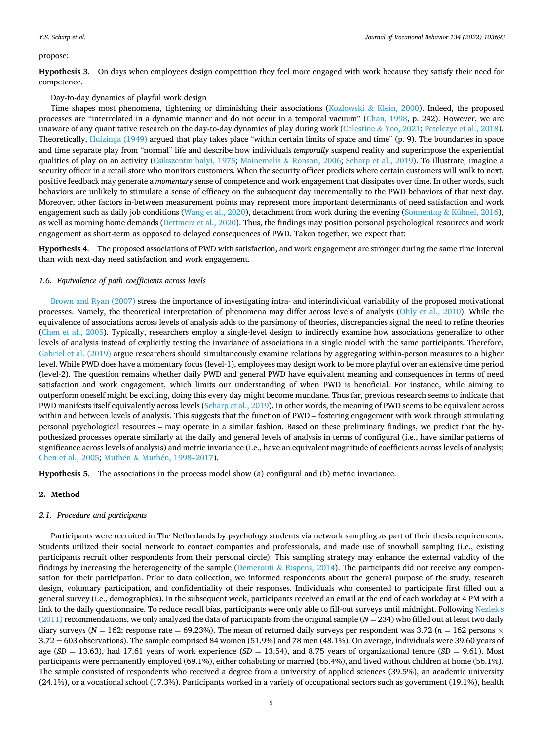#### <span id="page-4-0"></span>propose:

**Hypothesis 3**. On days when employees design competition they feel more engaged with work because they satisfy their need for competence.

#### Day-to-day dynamics of playful work design

Time shapes most phenomena, tightening or diminishing their associations (Kozlowski & [Klein, 2000](#page-13-0)). Indeed, the proposed processes are "interrelated in a dynamic manner and do not occur in a temporal vacuum" ([Chan, 1998,](#page-13-0) p. 242). However, we are unaware of any quantitative research on the day-to-day dynamics of play during work (Celestine & [Yeo, 2021;](#page-13-0) [Petelczyc et al., 2018](#page-14-0)). Theoretically, [Huizinga \(1949\)](#page-13-0) argued that play takes place "within certain limits of space and time" (p. 9). The boundaries in space and time separate play from "normal" life and describe how individuals *temporally* suspend reality and superimpose the experiential qualities of play on an activity ([Csikszentmihalyi, 1975](#page-13-0); Mainemelis & [Ronson, 2006](#page-14-0); [Scharp et al., 2019](#page-14-0)). To illustrate, imagine a security officer in a retail store who monitors customers. When the security officer predicts where certain customers will walk to next, positive feedback may generate a *momentary* sense of competence and work engagement that dissipates over time. In other words, such behaviors are unlikely to stimulate a sense of efficacy on the subsequent day incrementally to the PWD behaviors of that next day. Moreover, other factors in-between measurement points may represent more important determinants of need satisfaction and work engagement such as daily job conditions ([Wang et al., 2020](#page-14-0)), detachment from work during the evening (Sonnentag & [Kühnel, 2016](#page-14-0)), as well as morning home demands ([Dettmers et al., 2020\)](#page-13-0). Thus, the findings may position personal psychological resources and work engagement as short-term as opposed to delayed consequences of PWD. Taken together, we expect that:

**Hypothesis 4**. The proposed associations of PWD with satisfaction, and work engagement are stronger during the same time interval than with next-day need satisfaction and work engagement.

# *1.6. Equivalence of path coefficients across levels*

[Brown and Ryan \(2007\)](#page-13-0) stress the importance of investigating intra- and interindividual variability of the proposed motivational processes. Namely, the theoretical interpretation of phenomena may differ across levels of analysis [\(Ohly et al., 2010](#page-14-0)). While the equivalence of associations across levels of analysis adds to the parsimony of theories, discrepancies signal the need to refine theories [\(Chen et al., 2005\)](#page-13-0). Typically, researchers employ a single-level design to indirectly examine how associations generalize to other levels of analysis instead of explicitly testing the invariance of associations in a single model with the same participants. Therefore, [Gabriel et al. \(2019\)](#page-13-0) argue researchers should simultaneously examine relations by aggregating within-person measures to a higher level. While PWD does have a momentary focus (level-1), employees may design work to be more playful over an extensive time period (level-2). The question remains whether daily PWD and general PWD have equivalent meaning and consequences in terms of need satisfaction and work engagement, which limits our understanding of when PWD is beneficial. For instance, while aiming to outperform oneself might be exciting, doing this every day might become mundane. Thus far, previous research seems to indicate that PWD manifests itself equivalently across levels [\(Scharp et al., 2019\)](#page-14-0). In other words, the meaning of PWD seems to be equivalent across within and between levels of analysis. This suggests that the function of PWD – fostering engagement with work through stimulating personal psychological resources – may operate in a similar fashion. Based on these preliminary findings, we predict that the hypothesized processes operate similarly at the daily and general levels of analysis in terms of configural (i.e., have similar patterns of significance across levels of analysis) and metric invariance (i.e., have an equivalent magnitude of coefficients across levels of analysis; [Chen et al., 2005;](#page-13-0) Muthén & Muthén, 1998-2017).

**Hypothesis 5**. The associations in the process model show (a) configural and (b) metric invariance.

# **2. Method**

#### *2.1. Procedure and participants*

Participants were recruited in The Netherlands by psychology students via network sampling as part of their thesis requirements. Students utilized their social network to contact companies and professionals, and made use of snowball sampling (i.e., existing participants recruit other respondents from their personal circle). This sampling strategy may enhance the external validity of the findings by increasing the heterogeneity of the sample (Demerouti & [Rispens, 2014\)](#page-13-0). The participants did not receive any compensation for their participation. Prior to data collection, we informed respondents about the general purpose of the study, research design, voluntary participation, and confidentiality of their responses. Individuals who consented to participate first filled out a general survey (i.e., demographics). In the subsequent week, participants received an email at the end of each workday at 4 PM with a link to the daily questionnaire. To reduce recall bias, participants were only able to fill-out surveys until midnight. Following [Nezlek's](#page-14-0) [\(2011\)](#page-14-0) recommendations, we only analyzed the data of participants from the original sample (*N* = 234) who filled out at least two daily diary surveys ( $N = 162$ ; response rate = 69.23%). The mean of returned daily surveys per respondent was 3.72 ( $n = 162$  persons  $\times$ 3.72 = 603 observations). The sample comprised 84 women (51.9%) and 78 men (48.1%). On average, individuals were 39.60 years of age (*SD* = 13.63), had 17.61 years of work experience (*SD* = 13.54), and 8.75 years of organizational tenure (*SD* = 9.61). Most participants were permanently employed (69.1%), either cohabiting or married (65.4%), and lived without children at home (56.1%). The sample consisted of respondents who received a degree from a university of applied sciences (39.5%), an academic university (24.1%), or a vocational school (17.3%). Participants worked in a variety of occupational sectors such as government (19.1%), health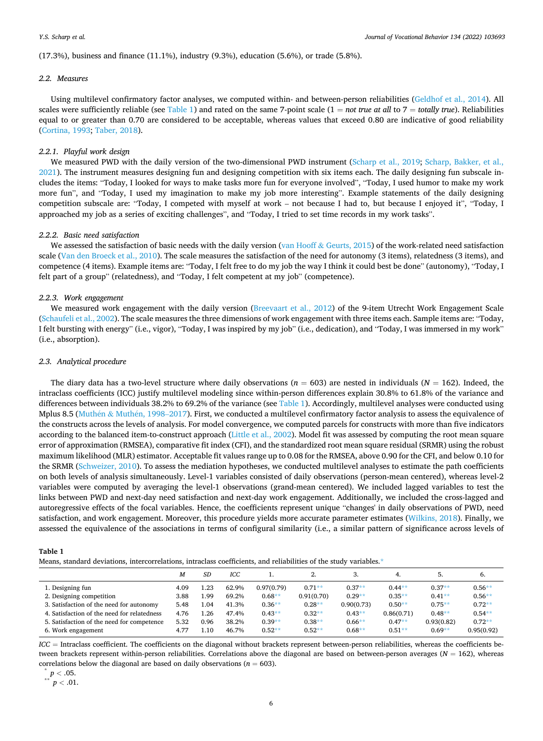<span id="page-5-0"></span>(17.3%), business and finance (11.1%), industry (9.3%), education (5.6%), or trade (5.8%).

#### *2.2. Measures*

Using multilevel confirmatory factor analyses, we computed within- and between-person reliabilities ([Geldhof et al., 2014](#page-13-0)). All scales were sufficiently reliable (see Table 1) and rated on the same 7-point scale  $(1 = not true at all to 7 = totally true)$ . Reliabilities equal to or greater than 0.70 are considered to be acceptable, whereas values that exceed 0.80 are indicative of good reliability [\(Cortina, 1993;](#page-13-0) [Taber, 2018](#page-14-0)).

## *2.2.1. Playful work design*

We measured PWD with the daily version of the two-dimensional PWD instrument ([Scharp et al., 2019](#page-14-0); [Scharp, Bakker, et al.,](#page-14-0) [2021\)](#page-14-0). The instrument measures designing fun and designing competition with six items each. The daily designing fun subscale includes the items: "Today, I looked for ways to make tasks more fun for everyone involved", "Today, I used humor to make my work more fun", and "Today, I used my imagination to make my job more interesting". Example statements of the daily designing competition subscale are: "Today, I competed with myself at work – not because I had to, but because I enjoyed it", "Today, I approached my job as a series of exciting challenges", and "Today, I tried to set time records in my work tasks".

## *2.2.2. Basic need satisfaction*

We assessed the satisfaction of basic needs with the daily version (van Hooff & [Geurts, 2015](#page-14-0)) of the work-related need satisfaction scale [\(Van den Broeck et al., 2010\)](#page-14-0). The scale measures the satisfaction of the need for autonomy (3 items), relatedness (3 items), and competence (4 items). Example items are: "Today, I felt free to do my job the way I think it could best be done" (autonomy), "Today, I felt part of a group" (relatedness), and "Today, I felt competent at my job" (competence).

### *2.2.3. Work engagement*

We measured work engagement with the daily version [\(Breevaart et al., 2012\)](#page-13-0) of the 9-item Utrecht Work Engagement Scale [\(Schaufeli et al., 2002\)](#page-14-0). The scale measures the three dimensions of work engagement with three items each. Sample items are: "Today, I felt bursting with energy" (i.e., vigor), "Today, I was inspired by my job" (i.e., dedication), and "Today, I was immersed in my work" (i.e., absorption).

#### *2.3. Analytical procedure*

The diary data has a two-level structure where daily observations ( $n = 603$ ) are nested in individuals ( $N = 162$ ). Indeed, the intraclass coefficients (ICC) justify multilevel modeling since within-person differences explain 30.8% to 61.8% of the variance and differences between individuals 38.2% to 69.2% of the variance (see Table 1). Accordingly, multilevel analyses were conducted using Mplus 8.5 (Muthén & Muthén, 1998–2017). First, we conducted a multilevel confirmatory factor analysis to assess the equivalence of the constructs across the levels of analysis. For model convergence, we computed parcels for constructs with more than five indicators according to the balanced item-to-construct approach [\(Little et al., 2002](#page-13-0)). Model fit was assessed by computing the root mean square error of approximation (RMSEA), comparative fit index (CFI), and the standardized root mean square residual (SRMR) using the robust maximum likelihood (MLR) estimator. Acceptable fit values range up to 0.08 for the RMSEA, above 0.90 for the CFI, and below 0.10 for the SRMR ([Schweizer, 2010\)](#page-14-0). To assess the mediation hypotheses, we conducted multilevel analyses to estimate the path coefficients on both levels of analysis simultaneously. Level-1 variables consisted of daily observations (person-mean centered), whereas level-2 variables were computed by averaging the level-1 observations (grand-mean centered). We included lagged variables to test the links between PWD and next-day need satisfaction and next-day work engagement. Additionally, we included the cross-lagged and autoregressive effects of the focal variables. Hence, the coefficients represent unique "changes' in daily observations of PWD, need satisfaction, and work engagement. Moreover, this procedure yields more accurate parameter estimates ([Wilkins, 2018\)](#page-14-0). Finally, we assessed the equivalence of the associations in terms of configural similarity (i.e., a similar pattern of significance across levels of

#### **Table 1**

Means, standard deviations, intercorrelations, intraclass coefficients, and reliabilities of the study variables.\*

|                                             | М    | SD   | ICC   |            |            |            | 4.         |            | 6.         |
|---------------------------------------------|------|------|-------|------------|------------|------------|------------|------------|------------|
| 1. Designing fun                            | 4.09 | 1.23 | 62.9% | 0.97(0.79) | $0.71**$   | $0.37**$   | $0.44**$   | $0.37**$   | $0.56**$   |
| 2. Designing competition                    | 3.88 | 1.99 | 69.2% | $0.68**$   | 0.91(0.70) | $0.29**$   | $0.35**$   | $0.41**$   | $0.56**$   |
| 3. Satisfaction of the need for autonomy    | 5.48 | 1.04 | 41.3% | $0.36**$   | $0.28**$   | 0.90(0.73) | $0.50**$   | $0.75**$   | $0.72**$   |
| 4. Satisfaction of the need for relatedness | 4.76 | I.26 | 47.4% | $0.43**$   | $0.32**$   | $0.43**$   | 0.86(0.71) | $0.48**$   | $0.54**$   |
| 5. Satisfaction of the need for competence  | 5.32 | 0.96 | 38.2% | $0.39**$   | $0.38**$   | $0.66**$   | $0.47**$   | 0.93(0.82) | $0.72**$   |
| 6. Work engagement                          | 4.77 | .10  | 46.7% | $0.52**$   | $0.52**$   | $0.68**$   | $0.51**$   | $0.69**$   | 0.95(0.92) |

*ICC* = Intraclass coefficient. The coefficients on the diagonal without brackets represent between-person reliabilities, whereas the coefficients between brackets represent within-person reliabilities. Correlations above the diagonal are based on between-person averages (*N* = 162), whereas correlations below the diagonal are based on daily observations (*n* = 603).<br>
\*\* *p* < .05. \*\* *p* < .01.

$$
p < .05.
$$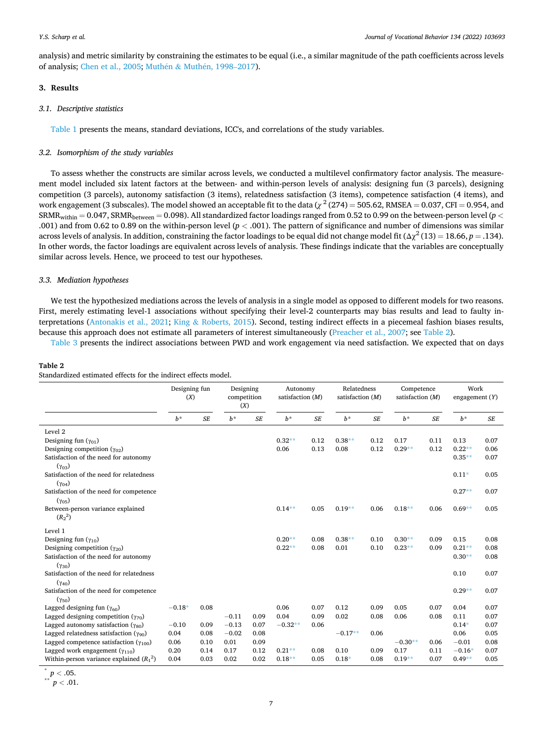<span id="page-6-0"></span>analysis) and metric similarity by constraining the estimates to be equal (i.e., a similar magnitude of the path coefficients across levels of analysis; [Chen et al., 2005;](#page-13-0) Muthén & Muthén, 1998–2017).

# **3. Results**

## *3.1. Descriptive statistics*

[Table 1](#page-5-0) presents the means, standard deviations, ICC's, and correlations of the study variables.

## *3.2. Isomorphism of the study variables*

To assess whether the constructs are similar across levels, we conducted a multilevel confirmatory factor analysis. The measurement model included six latent factors at the between- and within-person levels of analysis: designing fun (3 parcels), designing competition (3 parcels), autonomy satisfaction (3 items), relatedness satisfaction (3 items), competence satisfaction (4 items), and work engagement (3 subscales). The model showed an acceptable fit to the data ( $\chi^2$  (274) = 505.62, RMSEA = 0.037, CFI = 0.954, and  $SRMR_{within} = 0.047$ ,  $SRMR_{between} = 0.098$ ). All standardized factor loadings ranged from 0.52 to 0.99 on the between-person level ( $p <$ .001) and from 0.62 to 0.89 on the within-person level (*p <* .001). The pattern of significance and number of dimensions was similar across levels of analysis. In addition, constraining the factor loadings to be equal did not change model fit  $(\Delta \chi^2 (13) = 18.66, p = .134)$ . In other words, the factor loadings are equivalent across levels of analysis. These findings indicate that the variables are conceptually similar across levels. Hence, we proceed to test our hypotheses.

# *3.3. Mediation hypotheses*

We test the hypothesized mediations across the levels of analysis in a single model as opposed to different models for two reasons. First, merely estimating level-1 associations without specifying their level-2 counterparts may bias results and lead to faulty interpretations ([Antonakis et al., 2021](#page-12-0); King & [Roberts, 2015](#page-13-0)). Second, testing indirect effects in a piecemeal fashion biases results, because this approach does not estimate all parameters of interest simultaneously [\(Preacher et al., 2007;](#page-14-0) see Table 2).

[Table 3](#page-7-0) presents the indirect associations between PWD and work engagement via need satisfaction. We expected that on days

## **Table 2**

Standardized estimated effects for the indirect effects model.

|                                                             | Designing fun<br>(X) |           | Designing<br>competition<br>(X) |      | Autonomy<br>satisfaction $(M)$ |           | Relatedness<br>satisfaction (M) |      | Competence<br>satisfaction (M) |      | Work<br>engagement $(Y)$ |      |
|-------------------------------------------------------------|----------------------|-----------|---------------------------------|------|--------------------------------|-----------|---------------------------------|------|--------------------------------|------|--------------------------|------|
|                                                             | $b^*$                | <b>SE</b> | $b^*$                           | SE   | $b^*$                          | <b>SE</b> | $b^*$                           | SE   | $b^*$                          | SE   | $b^*$                    | SE   |
| Level <sub>2</sub>                                          |                      |           |                                 |      |                                |           |                                 |      |                                |      |                          |      |
| Designing fun $(\gamma_{01})$                               |                      |           |                                 |      | $0.32**$                       | 0.12      | $0.38**$                        | 0.12 | 0.17                           | 0.11 | 0.13                     | 0.07 |
| Designing competition $(\gamma_{02})$                       |                      |           |                                 |      | 0.06                           | 0.13      | 0.08                            | 0.12 | $0.29**$                       | 0.12 | $0.22**$                 | 0.06 |
| Satisfaction of the need for autonomy<br>$(\gamma_{03})$    |                      |           |                                 |      |                                |           |                                 |      |                                |      | $0.35**$                 | 0.07 |
| Satisfaction of the need for relatedness<br>$(\gamma_{04})$ |                      |           |                                 |      |                                |           |                                 |      |                                |      | $0.11*$                  | 0.05 |
| Satisfaction of the need for competence                     |                      |           |                                 |      |                                |           |                                 |      |                                |      | $0.27**$                 | 0.07 |
| $(\gamma_{05})$<br>Between-person variance explained        |                      |           |                                 |      | $0.14***$                      | 0.05      | $0.19**$                        | 0.06 | $0.18***$                      | 0.06 | $0.69**$                 | 0.05 |
| $(R_2^2)$                                                   |                      |           |                                 |      |                                |           |                                 |      |                                |      |                          |      |
| Level 1                                                     |                      |           |                                 |      |                                |           |                                 |      |                                |      |                          |      |
| Designing fun $(\gamma_{10})$                               |                      |           |                                 |      | $0.20**$                       | 0.08      | $0.38**$                        | 0.10 | $0.30**$                       | 0.09 | 0.15                     | 0.08 |
| Designing competition $(\gamma_{20})$                       |                      |           |                                 |      | $0.22**$                       | 0.08      | 0.01                            | 0.10 | $0.23**$                       | 0.09 | $0.21**$                 | 0.08 |
| Satisfaction of the need for autonomy                       |                      |           |                                 |      |                                |           |                                 |      |                                |      | $0.30**$                 | 0.08 |
| $(\gamma_{30})$<br>Satisfaction of the need for relatedness |                      |           |                                 |      |                                |           |                                 |      |                                |      | 0.10                     | 0.07 |
| $(\gamma_{40})$                                             |                      |           |                                 |      |                                |           |                                 |      |                                |      |                          |      |
| Satisfaction of the need for competence                     |                      |           |                                 |      |                                |           |                                 |      |                                |      | $0.29**$                 | 0.07 |
| $(\gamma_{50})$                                             |                      |           |                                 |      |                                |           |                                 |      |                                |      |                          |      |
| Lagged designing fun $(\gamma_{60})$                        | $-0.18*$             | 0.08      |                                 |      | 0.06                           | 0.07      | 0.12                            | 0.09 | 0.05                           | 0.07 | 0.04                     | 0.07 |
| Lagged designing competition $(\gamma_{70})$                |                      |           | $-0.11$                         | 0.09 | 0.04                           | 0.09      | 0.02                            | 0.08 | 0.06                           | 0.08 | 0.11                     | 0.07 |
| Lagged autonomy satisfaction $(\gamma_{80})$                | $-0.10$              | 0.09      | $-0.13$                         | 0.07 | $-0.32**$                      | 0.06      |                                 |      |                                |      | $0.14*$                  | 0.07 |
| Lagged relatedness satisfaction $(\gamma_{90})$             | 0.04                 | 0.08      | $-0.02$                         | 0.08 |                                |           | $-0.17**$                       | 0.06 |                                |      | 0.06                     | 0.05 |
| Lagged competence satisfaction $(\gamma_{100})$             | 0.06                 | 0.10      | 0.01                            | 0.09 |                                |           |                                 |      | $-0.30**$                      | 0.06 | $-0.01$                  | 0.08 |
| Lagged work engagement $(\gamma_{110})$                     | 0.20                 | 0.14      | 0.17                            | 0.12 | $0.21**$                       | 0.08      | 0.10                            | 0.09 | 0.17                           | 0.11 | $-0.16*$                 | 0.07 |
| Within-person variance explained $(R_1^2)$                  | 0.04                 | 0.03      | 0.02                            | 0.02 | $0.18**$                       | 0.05      | $0.18*$                         | 0.08 | $0.19**$                       | 0.07 | $0.49**$                 | 0.05 |

 $p < .05$ .

$$
^{\ast\ast}\,\,p<.01.
$$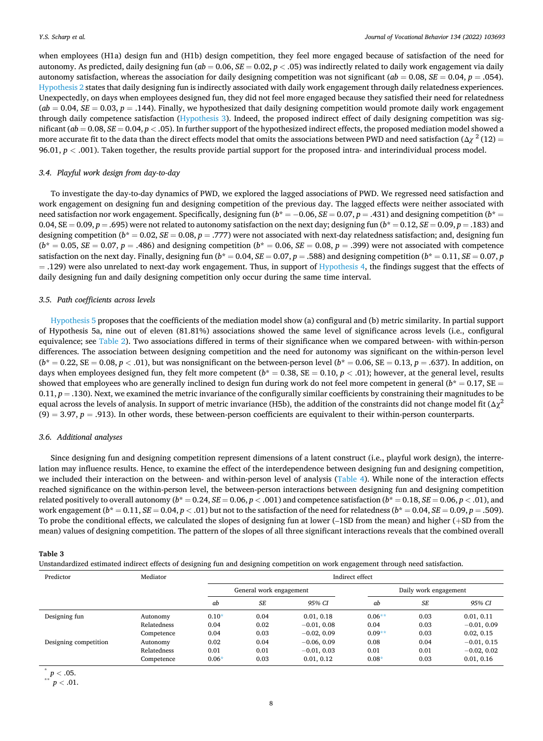<span id="page-7-0"></span>when employees (H1a) design fun and (H1b) design competition, they feel more engaged because of satisfaction of the need for autonomy. As predicted, daily designing fun ( $ab = 0.06$ ,  $SE = 0.02$ ,  $p < .05$ ) was indirectly related to daily work engagement via daily autonomy satisfaction, whereas the association for daily designing competition was not significant ( $ab = 0.08$ ,  $SE = 0.04$ ,  $p = .054$ ). [Hypothesis 2](#page-3-0) states that daily designing fun is indirectly associated with daily work engagement through daily relatedness experiences. Unexpectedly, on days when employees designed fun, they did not feel more engaged because they satisfied their need for relatedness  $(ab = 0.04, SE = 0.03, p = .144)$ . Finally, we hypothesized that daily designing competition would promote daily work engagement through daily competence satisfaction ([Hypothesis 3\)](#page-4-0). Indeed, the proposed indirect effect of daily designing competition was significant (*ab* = 0.08, *SE* = 0.04, *p <* .05). In further support of the hypothesized indirect effects, the proposed mediation model showed a more accurate fit to the data than the direct effects model that omits the associations between PWD and need satisfaction ( $\Delta \chi^2$  (12) = 96.01, *p <* .001). Taken together, the results provide partial support for the proposed intra- and interindividual process model.

## *3.4. Playful work design from day-to-day*

To investigate the day-to-day dynamics of PWD, we explored the lagged associations of PWD. We regressed need satisfaction and work engagement on designing fun and designing competition of the previous day. The lagged effects were neither associated with need satisfaction nor work engagement. Specifically, designing fun (*b*\* = − 0.06, *SE* = 0.07, *p* = .431) and designing competition (*b*\* = 0.04,  $SE = 0.09$ ,  $p = .695$ ) were not related to autonomy satisfaction on the next day; designing fun  $(b^* = 0.12, SE = 0.09, p = .183)$  and designing competition ( $b^* = 0.02$ ,  $SE = 0.08$ ,  $p = .777$ ) were not associated with next-day relatedness satisfaction; and, designing fun  $(b^* = 0.05, SE = 0.07, p = .486)$  and designing competition  $(b^* = 0.06, SE = 0.08, p = .399)$  were not associated with competence satisfaction on the next day. Finally, designing fun  $(b^* = 0.04, SE = 0.07, p = .588)$  and designing competition  $(b^* = 0.11, SE = 0.07, p = .588)$  $=$  .129) were also unrelated to next-day work engagement. Thus, in support of [Hypothesis 4](#page-4-0), the findings suggest that the effects of daily designing fun and daily designing competition only occur during the same time interval.

#### *3.5. Path coefficients across levels*

[Hypothesis 5](#page-4-0) proposes that the coefficients of the mediation model show (a) configural and (b) metric similarity. In partial support of Hypothesis 5a, nine out of eleven (81.81%) associations showed the same level of significance across levels (i.e., configural equivalence; see [Table 2\)](#page-6-0). Two associations differed in terms of their significance when we compared between- with within-person differences. The association between designing competition and the need for autonomy was significant on the within-person level  $(b^* = 0.22, SE = 0.08, p < .01)$ , but was nonsignificant on the between-person level  $(b^* = 0.06, SE = 0.13, p = .637)$ . In addition, on days when employees designed fun, they felt more competent  $(b^* = 0.38, SE = 0.10, p < .01)$ ; however, at the general level, results showed that employees who are generally inclined to design fun during work do not feel more competent in general  $(b^* = 0.17, SE =$  $0.11, p = .130$ ). Next, we examined the metric invariance of the configurally similar coefficients by constraining their magnitudes to be equal across the levels of analysis. In support of metric invariance (H5b), the addition of the constraints did not change model fit  $(\Delta \gamma^2)$  $(9) = 3.97, p = .913$ ). In other words, these between-person coefficients are equivalent to their within-person counterparts.

## *3.6. Additional analyses*

Since designing fun and designing competition represent dimensions of a latent construct (i.e., playful work design), the interrelation may influence results. Hence, to examine the effect of the interdependence between designing fun and designing competition, we included their interaction on the between- and within-person level of analysis ([Table 4](#page-8-0)). While none of the interaction effects reached significance on the within-person level, the between-person interactions between designing fun and designing competition related positively to overall autonomy  $(b^* = 0.24, SE = 0.06, p < .001)$  and competence satisfaction  $(b^* = 0.18, SE = 0.06, p < .01)$ , and work engagement ( $b^* = 0.11$ ,  $SE = 0.04$ ,  $p < .01$ ) but not to the satisfaction of the need for relatedness ( $b^* = 0.04$ ,  $SE = 0.09$ ,  $p = .509$ ). To probe the conditional effects, we calculated the slopes of designing fun at lower (–1SD from the mean) and higher (+SD from the mean) values of designing competition. The pattern of the slopes of all three significant interactions reveals that the combined overall

## **Table 3**

Unstandardized estimated indirect effects of designing fun and designing competition on work engagement through need satisfaction.

| Predictor             | Mediator    | Indirect effect |                         |               |          |                       |               |  |  |  |
|-----------------------|-------------|-----------------|-------------------------|---------------|----------|-----------------------|---------------|--|--|--|
|                       |             |                 | General work engagement |               |          | Daily work engagement |               |  |  |  |
|                       |             | ab              | <b>SE</b>               | 95% CI        | ab       | <b>SE</b>             | 95% CI        |  |  |  |
| Designing fun         | Autonomy    | $0.10*$         | 0.04                    | 0.01, 0.18    | $0.06**$ | 0.03                  | 0.01, 0.11    |  |  |  |
|                       | Relatedness | 0.04            | 0.02                    | $-0.01, 0.08$ | 0.04     | 0.03                  | $-0.01, 0.09$ |  |  |  |
|                       | Competence  | 0.04            | 0.03                    | $-0.02, 0.09$ | $0.09**$ | 0.03                  | 0.02, 0.15    |  |  |  |
| Designing competition | Autonomy    | 0.02            | 0.04                    | $-0.06, 0.09$ | 0.08     | 0.04                  | $-0.01, 0.15$ |  |  |  |
|                       | Relatedness | 0.01            | 0.01                    | $-0.01, 0.03$ | 0.01     | 0.01                  | $-0.02, 0.02$ |  |  |  |
|                       | Competence  | $0.06*$         | 0.03                    | 0.01, 0.12    | $0.08*$  | 0.03                  | 0.01, 0.16    |  |  |  |

 $p < .05$ .

$$
^{\ast \ast }\ p<.01.
$$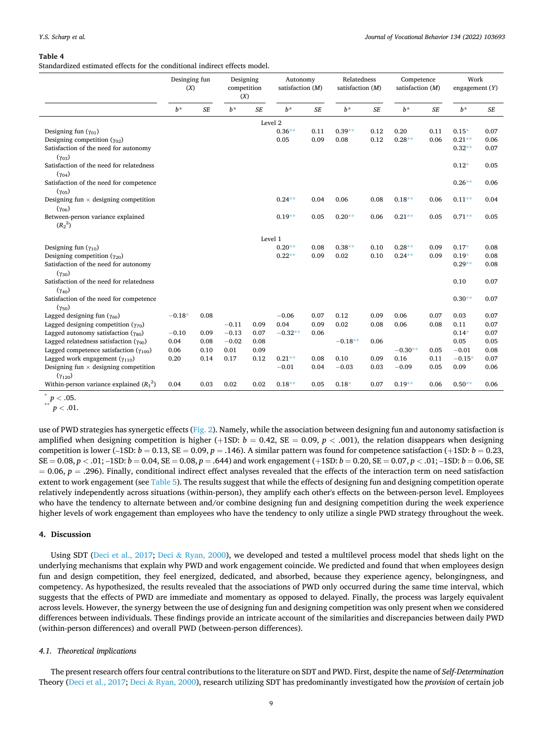#### <span id="page-8-0"></span>**Table 4**

Standardized estimated effects for the conditional indirect effects model.

|                                                                                         | Desinging fun<br>(X) |           | Designing<br>competition<br>(X) |                    | Autonomy<br>satisfaction $(M)$ |              | Relatedness<br>satisfaction (M) |              | Competence<br>satisfaction (M) |              | Work<br>engagement $(Y)$ |              |
|-----------------------------------------------------------------------------------------|----------------------|-----------|---------------------------------|--------------------|--------------------------------|--------------|---------------------------------|--------------|--------------------------------|--------------|--------------------------|--------------|
|                                                                                         | $b^*$                | <b>SE</b> | $b^*$                           | SE                 | $h^*$                          | SE           | $b^*$                           | SE           | $b^*$                          | SE           | $b^*$                    | SE           |
|                                                                                         |                      |           |                                 | Level <sub>2</sub> |                                |              |                                 |              |                                |              |                          |              |
| Designing fun $(\gamma_{01})$                                                           |                      |           |                                 |                    | $0.36**$                       | 0.11         | $0.39**$                        | 0.12         | 0.20                           | 0.11         | $0.15*$                  | 0.07         |
| Designing competition $(\gamma_{02})$                                                   |                      |           |                                 |                    | 0.05                           | 0.09         | 0.08                            | 0.12         | $0.28**$                       | 0.06         | $0.21**$                 | 0.06         |
| Satisfaction of the need for autonomy                                                   |                      |           |                                 |                    |                                |              |                                 |              |                                |              | $0.32**$                 | 0.07         |
| $(\gamma_{03})$                                                                         |                      |           |                                 |                    |                                |              |                                 |              |                                |              |                          |              |
| Satisfaction of the need for relatedness                                                |                      |           |                                 |                    |                                |              |                                 |              |                                |              | $0.12*$                  | 0.05         |
| $(\gamma_{04})$                                                                         |                      |           |                                 |                    |                                |              |                                 |              |                                |              | $0.26**$                 | 0.06         |
| Satisfaction of the need for competence<br>$(\gamma_{05})$                              |                      |           |                                 |                    |                                |              |                                 |              |                                |              |                          |              |
| Designing fun $\times$ designing competition                                            |                      |           |                                 |                    | $0.24***$                      | 0.04         | 0.06                            | 0.08         | $0.18***$                      | 0.06         | $0.11**$                 | 0.04         |
| $(\gamma_{06})$                                                                         |                      |           |                                 |                    |                                |              |                                 |              |                                |              |                          |              |
| Between-person variance explained                                                       |                      |           |                                 |                    | $0.19**$                       | 0.05         | $0.20**$                        | 0.06         | $0.21**$                       | 0.05         | $0.71**$                 | 0.05         |
| $(R_2^2)$                                                                               |                      |           |                                 |                    |                                |              |                                 |              |                                |              |                          |              |
|                                                                                         |                      |           |                                 |                    |                                |              |                                 |              |                                |              |                          |              |
| Designing fun $(\gamma_{10})$                                                           |                      |           |                                 | Level 1            | $0.20**$                       | 0.08         | $0.38**$                        | 0.10         | $0.28**$                       | 0.09         | $0.17*$                  | 0.08         |
| Designing competition $(\gamma_{20})$                                                   |                      |           |                                 |                    | $0.22**$                       | 0.09         | 0.02                            | 0.10         | $0.24***$                      | 0.09         | $0.19*$                  | 0.08         |
| Satisfaction of the need for autonomy                                                   |                      |           |                                 |                    |                                |              |                                 |              |                                |              | $0.29**$                 | 0.08         |
| $(\gamma_{30})$                                                                         |                      |           |                                 |                    |                                |              |                                 |              |                                |              |                          |              |
| Satisfaction of the need for relatedness                                                |                      |           |                                 |                    |                                |              |                                 |              |                                |              | 0.10                     | 0.07         |
| $(\gamma_{40})$                                                                         |                      |           |                                 |                    |                                |              |                                 |              |                                |              |                          |              |
| Satisfaction of the need for competence                                                 |                      |           |                                 |                    |                                |              |                                 |              |                                |              | $0.30**$                 | 0.07         |
| $(\gamma_{50})$                                                                         |                      |           |                                 |                    |                                |              |                                 |              |                                |              |                          |              |
| Lagged designing fun $(\gamma_{60})$                                                    | $-0.18*$             | 0.08      |                                 |                    | $-0.06$                        | 0.07         | 0.12                            | 0.09         | 0.06                           | 0.07         | 0.03                     | 0.07         |
| Lagged designing competition $(\gamma_{70})$                                            |                      |           | $-0.11$                         | 0.09               | 0.04                           | 0.09         | 0.02                            | 0.08         | 0.06                           | 0.08         | 0.11                     | 0.07         |
| Lagged autonomy satisfaction $(\gamma_{80})$                                            | $-0.10$              | 0.09      | $-0.13$                         | 0.07               | $-0.32**$                      | 0.06         |                                 |              |                                |              | $0.14*$                  | 0.07         |
| Lagged relatedness satisfaction $(\gamma_{90})$                                         | 0.04                 | 0.08      | $-0.02$                         | 0.08               |                                |              | $-0.18**$                       | 0.06         |                                |              | 0.05                     | 0.05         |
| Lagged competence satisfaction $(\gamma_{100})$                                         | 0.06                 | 0.10      | 0.01                            | 0.09               |                                |              | 0.10                            |              | $-0.30**$                      | 0.05         | $-0.01$                  | 0.08         |
| Lagged work engagement $(\gamma_{110})$<br>Designing fun $\times$ designing competition | 0.20                 | 0.14      | 0.17                            | 0.12               | $0.21**$<br>$-0.01$            | 0.08<br>0.04 | $-0.03$                         | 0.09<br>0.03 | 0.16<br>$-0.09$                | 0.11<br>0.05 | $-0.15*$<br>0.09         | 0.07<br>0.06 |
| $(Y_{120})$                                                                             |                      |           |                                 |                    |                                |              |                                 |              |                                |              |                          |              |
| Within-person variance explained $(R_1^2)$                                              | 0.04                 | 0.03      | 0.02                            | 0.02               | $0.18**$                       | 0.05         | $0.18*$                         | 0.07         | $0.19**$                       | 0.06         | $0.50**$                 | 0.06         |

 $\frac{}{p}$   $\frac{}{p}$   $\frac{}{p}$   $\frac{p}{p}$   $\frac{0.05}{0.01}$ .

use of PWD strategies has synergetic effects ([Fig. 2](#page-9-0)). Namely, while the association between designing fun and autonomy satisfaction is amplified when designing competition is higher (+1SD:  $b = 0.42$ , SE = 0.09,  $p < .001$ ), the relation disappears when designing competition is lower  $(-1SD: b = 0.13, SE = 0.09, p = .146)$ . A similar pattern was found for competence satisfaction  $(+1SD: b = 0.23,$  $SE = 0.08$ ,  $p < .01$ ;  $-1SD$ ;  $b = 0.04$ ,  $SE = 0.08$ ,  $p = .644$ ) and work engagement (+1SD;  $b = 0.20$ ,  $SE = 0.07$ ,  $p < .01$ ;  $-1SD$ ;  $b = 0.06$ ,  $SE = 0.07$ ,  $p < .01$  $= 0.06$ ,  $p = .296$ ). Finally, conditional indirect effect analyses revealed that the effects of the interaction term on need satisfaction extent to work engagement (see [Table 5](#page-10-0)). The results suggest that while the effects of designing fun and designing competition operate relatively independently across situations (within-person), they amplify each other's effects on the between-person level. Employees who have the tendency to alternate between and/or combine designing fun and designing competition during the week experience higher levels of work engagement than employees who have the tendency to only utilize a single PWD strategy throughout the week.

#### **4. Discussion**

Using SDT ([Deci et al., 2017](#page-13-0); Deci & [Ryan, 2000\)](#page-13-0), we developed and tested a multilevel process model that sheds light on the underlying mechanisms that explain why PWD and work engagement coincide. We predicted and found that when employees design fun and design competition, they feel energized, dedicated, and absorbed, because they experience agency, belongingness, and competency. As hypothesized, the results revealed that the associations of PWD only occurred during the same time interval, which suggests that the effects of PWD are immediate and momentary as opposed to delayed. Finally, the process was largely equivalent across levels. However, the synergy between the use of designing fun and designing competition was only present when we considered differences between individuals. These findings provide an intricate account of the similarities and discrepancies between daily PWD (within-person differences) and overall PWD (between-person differences).

## *4.1. Theoretical implications*

The present research offers four central contributions to the literature on SDT and PWD. First, despite the name of *Self-Determination*  Theory ([Deci et al., 2017](#page-13-0); Deci & [Ryan, 2000\)](#page-13-0), research utilizing SDT has predominantly investigated how the *provision* of certain job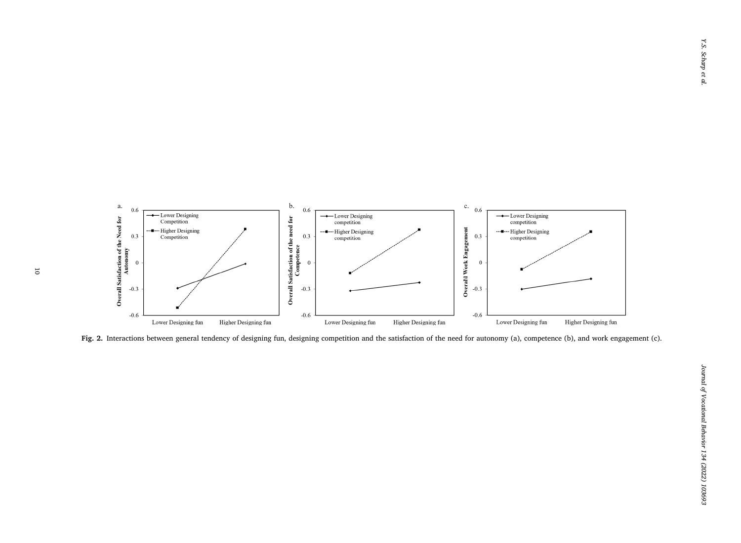<span id="page-9-0"></span>

Fig. 2. Interactions between general tendency of designing fun, designing competition and the satisfaction of the need for autonomy (a), competence (b), and work engagement (c).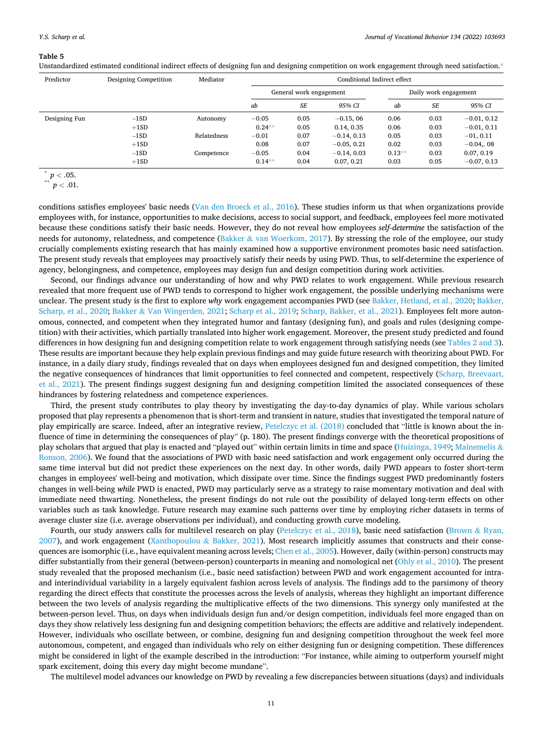#### <span id="page-10-0"></span>**Table 5**

Unstandardized estimated conditional indirect effects of designing fun and designing competition on work engagement through need satisfaction.\*

| Predictor     | Designing Competition | Mediator    | Conditional Indirect effect |           |               |                       |           |               |  |  |
|---------------|-----------------------|-------------|-----------------------------|-----------|---------------|-----------------------|-----------|---------------|--|--|
|               |                       |             | General work engagement     |           |               | Daily work engagement |           |               |  |  |
|               |                       |             | ab                          | <b>SE</b> | 95% CI        | ab                    | <b>SE</b> | 95% CI        |  |  |
| Designing Fun | $-1SD$                | Autonomy    | $-0.05$                     | 0.05      | $-0.15, 06$   | 0.06                  | 0.03      | $-0.01, 0.12$ |  |  |
|               | $+1SD$                |             | $0.24***$                   | 0.05      | 0.14, 0.35    | 0.06                  | 0.03      | $-0.01, 0.11$ |  |  |
|               | $-1SD$                | Relatedness | $-0.01$                     | 0.07      | $-0.14, 0.13$ | 0.05                  | 0.03      | $-01, 0.11$   |  |  |
|               | $+1SD$                |             | 0.08                        | 0.07      | $-0.05, 0.21$ | 0.02                  | 0.03      | $-0.04, 08$   |  |  |
|               | $-1SD$                | Competence  | $-0.05$                     | 0.04      | $-0.14, 0.03$ | $0.13**$              | 0.03      | 0.07, 0.19    |  |  |
|               | $+1SD$                |             | $0.14**$                    | 0.04      | 0.07, 0.21    | 0.03                  | 0.05      | $-0.07, 0.13$ |  |  |

 $\sum_{n=1}^{8} p < .05.$ <br> $p < .01.$ 

conditions satisfies employees' basic needs ([Van den Broeck et al., 2016](#page-14-0)). These studies inform us that when organizations provide employees with, for instance, opportunities to make decisions, access to social support, and feedback, employees feel more motivated because these conditions satisfy their basic needs. However, they do not reveal how employees *self-determine* the satisfaction of the needs for autonomy, relatedness, and competence (Bakker & [van Woerkom, 2017](#page-13-0)). By stressing the role of the employee, our study crucially complements existing research that has mainly examined how a supportive environment promotes basic need satisfaction. The present study reveals that employees may proactively satisfy their needs by using PWD. Thus, to self-determine the experience of agency, belongingness, and competence, employees may design fun and design competition during work activities.

Second, our findings advance our understanding of how and why PWD relates to work engagement. While previous research revealed that more frequent use of PWD tends to correspond to higher work engagement, the possible underlying mechanisms were unclear. The present study is the first to explore *why* work engagement accompanies PWD (see [Bakker, Hetland, et al., 2020](#page-13-0); [Bakker,](#page-13-0) [Scharp, et al., 2020](#page-13-0); Bakker & [Van Wingerden, 2021;](#page-13-0) [Scharp et al., 2019](#page-14-0); [Scharp, Bakker, et al., 2021](#page-14-0)). Employees felt more autonomous, connected, and competent when they integrated humor and fantasy (designing fun), and goals and rules (designing competition) with their activities, which partially translated into higher work engagement. Moreover, the present study predicted and found differences in how designing fun and designing competition relate to work engagement through satisfying needs (see [Tables 2 and 3](#page-6-0)). These results are important because they help explain previous findings and may guide future research with theorizing about PWD. For instance, in a daily diary study, findings revealed that on days when employees designed fun and designed competition, they limited the negative consequences of hindrances that limit opportunities to feel connected and competent, respectively [\(Scharp, Breevaart,](#page-14-0) [et al., 2021\)](#page-14-0). The present findings suggest designing fun and designing competition limited the associated consequences of these hindrances by fostering relatedness and competence experiences.

Third, the present study contributes to play theory by investigating the day-to-day dynamics of play. While various scholars proposed that play represents a phenomenon that is short-term and transient in nature, studies that investigated the temporal nature of play empirically are scarce. Indeed, after an integrative review, [Petelczyc et al. \(2018\)](#page-14-0) concluded that "little is known about the influence of time in determining the consequences of play" (p. 180). The present findings converge with the theoretical propositions of play scholars that argued that play is enacted and "played out" within certain limits in time and space ([Huizinga, 1949](#page-13-0); [Mainemelis](#page-14-0) & [Ronson, 2006\)](#page-14-0). We found that the associations of PWD with basic need satisfaction and work engagement only occurred during the same time interval but did not predict these experiences on the next day. In other words, daily PWD appears to foster short-term changes in employees' well-being and motivation, which dissipate over time. Since the findings suggest PWD predominantly fosters changes in well-being *while* PWD is enacted, PWD may particularly serve as a strategy to raise momentary motivation and deal with immediate need thwarting. Nonetheless, the present findings do not rule out the possibility of delayed long-term effects on other variables such as task knowledge. Future research may examine such patterns over time by employing richer datasets in terms of average cluster size (i.e. average observations per individual), and conducting growth curve modeling.

Fourth, our study answers calls for multilevel research on play ([Petelczyc et al., 2018](#page-14-0)), basic need satisfaction [\(Brown](#page-13-0) & Ryan, [2007\)](#page-13-0), and work engagement [\(Xanthopoulou](#page-14-0) & Bakker, 2021). Most research implicitly assumes that constructs and their conse-quences are isomorphic (i.e., have equivalent meaning across levels; [Chen et al., 2005\)](#page-13-0). However, daily (within-person) constructs may differ substantially from their general (between-person) counterparts in meaning and nomological net [\(Ohly et al., 2010](#page-14-0)). The present study revealed that the proposed mechanism (i.e., basic need satisfaction) between PWD and work engagement accounted for intraand interindividual variability in a largely equivalent fashion across levels of analysis. The findings add to the parsimony of theory regarding the direct effects that constitute the processes across the levels of analysis, whereas they highlight an important difference between the two levels of analysis regarding the multiplicative effects of the two dimensions. This synergy only manifested at the between-person level. Thus, on days when individuals design fun and/or design competition, individuals feel more engaged than on days they show relatively less designing fun and designing competition behaviors; the effects are additive and relatively independent. However, individuals who oscillate between, or combine, designing fun and designing competition throughout the week feel more autonomous, competent, and engaged than individuals who rely on either designing fun or designing competition. These differences might be considered in light of the example described in the introduction: "For instance, while aiming to outperform yourself might spark excitement, doing this every day might become mundane".

The multilevel model advances our knowledge on PWD by revealing a few discrepancies between situations (days) and individuals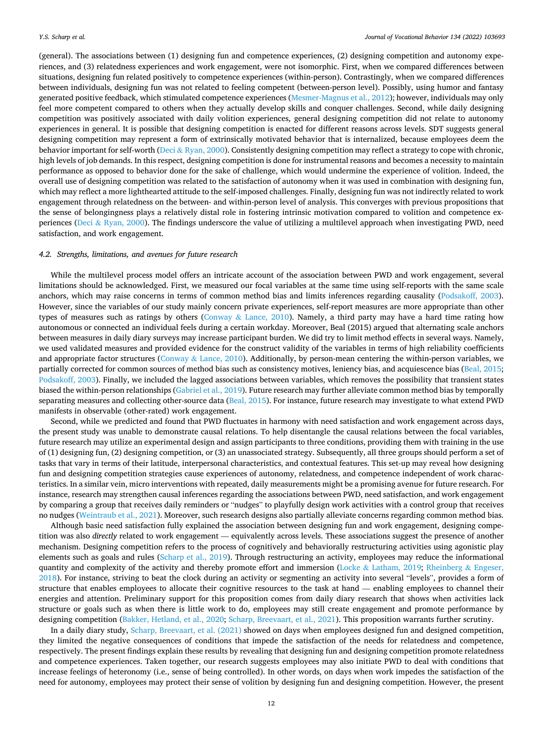(general). The associations between (1) designing fun and competence experiences, (2) designing competition and autonomy experiences, and (3) relatedness experiences and work engagement, were not isomorphic. First, when we compared differences between situations, designing fun related positively to competence experiences (within-person). Contrastingly, when we compared differences between individuals, designing fun was not related to feeling competent (between-person level). Possibly, using humor and fantasy generated positive feedback, which stimulated competence experiences [\(Mesmer-Magnus et al., 2012\)](#page-14-0); however, individuals may only feel more competent compared to others when they actually develop skills and conquer challenges. Second, while daily designing competition was positively associated with daily volition experiences, general designing competition did not relate to autonomy experiences in general. It is possible that designing competition is enacted for different reasons across levels. SDT suggests general designing competition may represent a form of extrinsically motivated behavior that is internalized, because employees deem the behavior important for self-worth (Deci & [Ryan, 2000](#page-13-0)). Consistently designing competition may reflect a strategy to cope with chronic, high levels of job demands. In this respect, designing competition is done for instrumental reasons and becomes a necessity to maintain performance as opposed to behavior done for the sake of challenge, which would undermine the experience of volition. Indeed, the overall use of designing competition was related to the satisfaction of autonomy when it was used in combination with designing fun, which may reflect a more lighthearted attitude to the self-imposed challenges. Finally, designing fun was not indirectly related to work engagement through relatedness on the between- and within-person level of analysis. This converges with previous propositions that the sense of belongingness plays a relatively distal role in fostering intrinsic motivation compared to volition and competence ex-periences (Deci & [Ryan, 2000\)](#page-13-0). The findings underscore the value of utilizing a multilevel approach when investigating PWD, need satisfaction, and work engagement.

#### *4.2. Strengths, limitations, and avenues for future research*

While the multilevel process model offers an intricate account of the association between PWD and work engagement, several limitations should be acknowledged. First, we measured our focal variables at the same time using self-reports with the same scale anchors, which may raise concerns in terms of common method bias and limits inferences regarding causality [\(Podsakoff, 2003](#page-14-0)). However, since the variables of our study mainly concern private experiences, self-report measures are more appropriate than other types of measures such as ratings by others (Conway & [Lance, 2010\)](#page-13-0). Namely, a third party may have a hard time rating how autonomous or connected an individual feels during a certain workday. Moreover, Beal (2015) argued that alternating scale anchors between measures in daily diary surveys may increase participant burden. We did try to limit method effects in several ways. Namely, we used validated measures and provided evidence for the construct validity of the variables in terms of high reliability coefficients and appropriate factor structures (Conway & [Lance, 2010](#page-13-0)). Additionally, by person-mean centering the within-person variables, we partially corrected for common sources of method bias such as consistency motives, leniency bias, and acquiescence bias ([Beal, 2015](#page-13-0); [Podsakoff, 2003\)](#page-14-0). Finally, we included the lagged associations between variables, which removes the possibility that transient states biased the within-person relationships [\(Gabriel et al., 2019\)](#page-13-0). Future research may further alleviate common method bias by temporally separating measures and collecting other-source data ([Beal, 2015](#page-13-0)). For instance, future research may investigate to what extend PWD manifests in observable (other-rated) work engagement.

Second, while we predicted and found that PWD fluctuates in harmony with need satisfaction and work engagement across days, the present study was unable to demonstrate causal relations. To help disentangle the causal relations between the focal variables, future research may utilize an experimental design and assign participants to three conditions, providing them with training in the use of (1) designing fun, (2) designing competition, or (3) an unassociated strategy. Subsequently, all three groups should perform a set of tasks that vary in terms of their latitude, interpersonal characteristics, and contextual features. This set-up may reveal how designing fun and designing competition strategies cause experiences of autonomy, relatedness, and competence independent of work characteristics. In a similar vein, micro interventions with repeated, daily measurements might be a promising avenue for future research. For instance, research may strengthen causal inferences regarding the associations between PWD, need satisfaction, and work engagement by comparing a group that receives daily reminders or "nudges" to playfully design work activities with a control group that receives no nudges [\(Weintraub et al., 2021\)](#page-14-0). Moreover, such research designs also partially alleviate concerns regarding common method bias.

Although basic need satisfaction fully explained the association between designing fun and work engagement, designing competition was also *directly* related to work engagement — equivalently across levels. These associations suggest the presence of another mechanism. Designing competition refers to the process of cognitively and behaviorally restructuring activities using agonistic play elements such as goals and rules ([Scharp et al., 2019\)](#page-14-0). Through restructuring an activity, employees may reduce the informational quantity and complexity of the activity and thereby promote effort and immersion (Locke & [Latham, 2019;](#page-14-0) [Rheinberg](#page-14-0) & Engeser, [2018\)](#page-14-0). For instance, striving to beat the clock during an activity or segmenting an activity into several "levels", provides a form of structure that enables employees to allocate their cognitive resources to the task at hand — enabling employees to channel their energies and attention. Preliminary support for this proposition comes from daily diary research that shows when activities lack structure or goals such as when there is little work to do, employees may still create engagement and promote performance by designing competition ([Bakker, Hetland, et al., 2020;](#page-13-0) [Scharp, Breevaart, et al., 2021\)](#page-14-0). This proposition warrants further scrutiny.

In a daily diary study, [Scharp, Breevaart, et al. \(2021\)](#page-14-0) showed on days when employees designed fun and designed competition, they limited the negative consequences of conditions that impede the satisfaction of the needs for relatedness and competence, respectively. The present findings explain these results by revealing that designing fun and designing competition promote relatedness and competence experiences. Taken together, our research suggests employees may also initiate PWD to deal with conditions that increase feelings of heteronomy (i.e., sense of being controlled). In other words, on days when work impedes the satisfaction of the need for autonomy, employees may protect their sense of volition by designing fun and designing competition. However, the present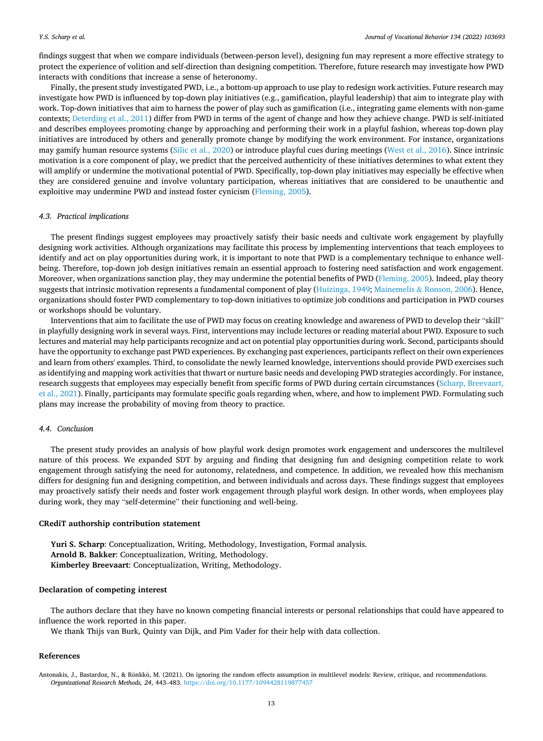<span id="page-12-0"></span>findings suggest that when we compare individuals (between-person level), designing fun may represent a more effective strategy to protect the experience of volition and self-direction than designing competition. Therefore, future research may investigate how PWD interacts with conditions that increase a sense of heteronomy.

Finally, the present study investigated PWD, i.e., a bottom-up approach to use play to redesign work activities. Future research may investigate how PWD is influenced by top-down play initiatives (e.g., gamification, playful leadership) that aim to integrate play with work. Top-down initiatives that aim to harness the power of play such as gamification (i.e., integrating game elements with non-game contexts; [Deterding et al., 2011](#page-13-0)) differ from PWD in terms of the agent of change and how they achieve change. PWD is self-initiated and describes employees promoting change by approaching and performing their work in a playful fashion, whereas top-down play initiatives are introduced by others and generally promote change by modifying the work environment. For instance, organizations may gamify human resource systems ([Silic et al., 2020\)](#page-14-0) or introduce playful cues during meetings ([West et al., 2016\)](#page-14-0). Since intrinsic motivation is a core component of play, we predict that the perceived authenticity of these initiatives determines to what extent they will amplify or undermine the motivational potential of PWD. Specifically, top-down play initiatives may especially be effective when they are considered genuine and involve voluntary participation, whereas initiatives that are considered to be unauthentic and exploitive may undermine PWD and instead foster cynicism ([Fleming, 2005\)](#page-13-0).

#### *4.3. Practical implications*

The present findings suggest employees may proactively satisfy their basic needs and cultivate work engagement by playfully designing work activities. Although organizations may facilitate this process by implementing interventions that teach employees to identify and act on play opportunities during work, it is important to note that PWD is a complementary technique to enhance wellbeing. Therefore, top-down job design initiatives remain an essential approach to fostering need satisfaction and work engagement. Moreover, when organizations sanction play, they may undermine the potential benefits of PWD ([Fleming, 2005](#page-13-0)). Indeed, play theory suggests that intrinsic motivation represents a fundamental component of play [\(Huizinga, 1949](#page-13-0); Mainemelis & [Ronson, 2006\)](#page-14-0). Hence, organizations should foster PWD complementary to top-down initiatives to optimize job conditions and participation in PWD courses or workshops should be voluntary.

Interventions that aim to facilitate the use of PWD may focus on creating knowledge and awareness of PWD to develop their "skill" in playfully designing work in several ways. First, interventions may include lectures or reading material about PWD. Exposure to such lectures and material may help participants recognize and act on potential play opportunities during work. Second, participants should have the opportunity to exchange past PWD experiences. By exchanging past experiences, participants reflect on their own experiences and learn from others' examples. Third, to consolidate the newly learned knowledge, interventions should provide PWD exercises such as identifying and mapping work activities that thwart or nurture basic needs and developing PWD strategies accordingly. For instance, research suggests that employees may especially benefit from specific forms of PWD during certain circumstances ([Scharp, Breevaart,](#page-14-0) [et al., 2021\)](#page-14-0). Finally, participants may formulate specific goals regarding when, where, and how to implement PWD. Formulating such plans may increase the probability of moving from theory to practice.

# *4.4. Conclusion*

The present study provides an analysis of how playful work design promotes work engagement and underscores the multilevel nature of this process. We expanded SDT by arguing and finding that designing fun and designing competition relate to work engagement through satisfying the need for autonomy, relatedness, and competence. In addition, we revealed how this mechanism differs for designing fun and designing competition, and between individuals and across days. These findings suggest that employees may proactively satisfy their needs and foster work engagement through playful work design. In other words, when employees play during work, they may "self-determine" their functioning and well-being.

#### **CRediT authorship contribution statement**

**Yuri S. Scharp**: Conceptualization, Writing, Methodology, Investigation, Formal analysis. **Arnold B. Bakker**: Conceptualization, Writing, Methodology. **Kimberley Breevaart**: Conceptualization, Writing, Methodology.

### **Declaration of competing interest**

The authors declare that they have no known competing financial interests or personal relationships that could have appeared to influence the work reported in this paper.

We thank Thijs van Burk, Quinty van Dijk, and Pim Vader for their help with data collection.

#### **References**

Antonakis, J., Bastardoz, N., & Rönkkö, M. (2021). On ignoring the random effects assumption in multilevel models: Review, critique, and recommendations. *Organizational Research Methods, 24*, 443–483.<https://doi.org/10.1177/1094428119877457>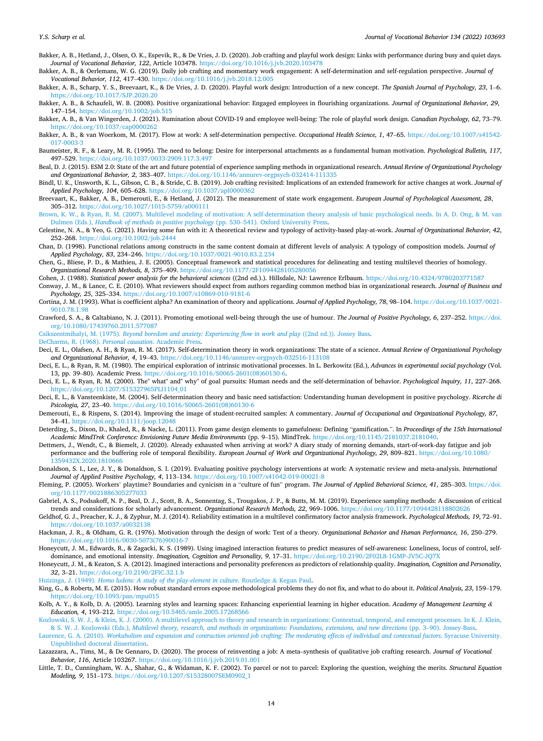<span id="page-13-0"></span>Bakker, A. B., Hetland, J., Olsen, O. K., Espevik, R., & De Vries, J. D. (2020). Job crafting and playful work design: Links with performance during busy and quiet days. *Journal of Vocational Behavior, 122*, Article 103478. <https://doi.org/10.1016/j.jvb.2020.103478>

Bakker, A. B., & Oerlemans, W. G. (2019). Daily job crafting and momentary work engagement: A self-determination and self-regulation perspective. *Journal of Vocational Behavior, 112*, 417–430.<https://doi.org/10.1016/j.jvb.2018.12.005>

Bakker, A. B., Scharp, Y. S., Breevaart, K., & De Vries, J. D. (2020). Playful work design: Introduction of a new concept. *The Spanish Journal of Psychology, 23*, 1–6. <https://doi.org/10.1017/SJP.2020.20>

Bakker, A. B., & Schaufeli, W. B. (2008). Positive organizational behavior: Engaged employees in flourishing organizations. *Journal of Organizational Behavior, 29*, 147–154. <https://doi.org/10.1002/job.515>

Bakker, A. B., & Van Wingerden, J. (2021). Rumination about COVID-19 and employee well-being: The role of playful work design. *Canadian Psychology, 62*, 73–79. <https://doi.org/10.1037/cap0000262>

Bakker, A. B., & van Woerkom, M. (2017). Flow at work: A self-determination perspective. *Occupational Health Science, 1*, 47–65. [https://doi.org/10.1007/s41542-](https://doi.org/10.1007/s41542-017-0003-3) [017-0003-3](https://doi.org/10.1007/s41542-017-0003-3) 

- Baumeister, R. F., & Leary, M. R. (1995). The need to belong: Desire for interpersonal attachments as a fundamental human motivation. *Psychological Bulletin, 117*, 497–529. <https://doi.org/10.1037/0033-2909.117.3.497>
- Beal, D. J. (2015). ESM 2.0: State of the art and future potential of experience sampling methods in organizational research. *Annual Review of Organizational Psychology and Organizational Behavior, 2*, 383–407.<https://doi.org/10.1146/annurev-orgpsych-032414-111335>
- Bindl, U. K., Unsworth, K. L., Gibson, C. B., & Stride, C. B. (2019). Job crafting revisited: Implications of an extended framework for active changes at work. *Journal of Applied Psychology, 104*, 605–628. <https://doi.org/10.1037/apl0000362>
- Breevaart, K., Bakker, A. B., Demerouti, E., & Hetland, J. (2012). The measurement of state work engagement. *European Journal of Psychological Assessment, 28*, 305–312. <https://doi.org/10.1027/1015-5759/a000111>
- [Brown, K. W., & Ryan, R. M. \(2007\). Multilevel modeling of motivation: A self-determination theory analysis of basic psychological needs. In A. D. Ong, & M. van](http://refhub.elsevier.com/S0001-8791(22)00004-5/rf202201282340093430) Dulmen (Eds.), *[Handbook of methods in positive psychology](http://refhub.elsevier.com/S0001-8791(22)00004-5/rf202201282340093430)* (pp. 530–541). Oxford University Press.
- Celestine, N. A., & Yeo, G. (2021). Having some fun with it: A theoretical review and typology of activity-based play-at-work. *Journal of Organizational Behavior, 42*, 252–268. <https://doi.org/10.1002/job.2444>
- Chan, D. (1998). Functional relations among constructs in the same content domain at different levels of analysis: A typology of composition models. *Journal of Applied Psychology, 83*, 234–246. <https://doi.org/10.1037/0021-9010.83.2.234>

Chen, G., Bliese, P. D., & Mathieu, J. E. (2005). Conceptual framework and statistical procedures for delineating and testing multilevel theories of homology. *Organizational Research Methods, 8*, 375–409. <https://doi.org/10.1177/2F1094428105280056>

Cohen, J. (1988). *Statistical power analysis for the behavioral sciences* ((2nd ed.).). Hillsdale, NJ: Lawrence Erlbaum.<https://doi.org/10.4324/9780203771587>

Conway, J. M., & Lance, C. E. (2010). What reviewers should expect from authors regarding common method bias in organizational research. *Journal of Business and Psychology, 25*, 325–334. <https://doi.org/10.1007/s10869-010-9181-6>

Cortina, J. M. (1993). What is coefficient alpha? An examination of theory and applications. *Journal of Applied Psychology, 78*, 98–104. [https://doi.org/10.1037/0021-](https://doi.org/10.1037/0021-9010.78.1.98) [9010.78.1.98](https://doi.org/10.1037/0021-9010.78.1.98) 

Crawford, S. A., & Caltabiano, N. J. (2011). Promoting emotional well-being through the use of humour. *The Journal of Positive Psychology, 6*, 237–252. [https://doi.](https://doi.org/10.1080/17439760.2011.577087) [org/10.1080/17439760.2011.577087](https://doi.org/10.1080/17439760.2011.577087)

Csikszentmihalyi, M. (1975). *[Beyond boredom and anxiety: Experiencing flow in work and play](http://refhub.elsevier.com/S0001-8791(22)00004-5/rf202201282340327199)* ((2nd ed.)). Jossey Bass.

# [DeCharms, R. \(1968\).](http://refhub.elsevier.com/S0001-8791(22)00004-5/rf202201282340383609) *Personal causation*. Academic Press.

- Deci, E. L., Olafsen, A. H., & Ryan, R. M. (2017). Self-determination theory in work organizations: The state of a science. *Annual Review of Organizational Psychology and Organizational Behavior, 4*, 19–43. <https://doi.org/10.1146/annurev-orgpsych-032516-113108>
- Deci, E. L., & Ryan, R. M. (1980). The empirical exploration of intrinsic motivational processes. In L. Berkowitz (Ed.), *Advances in experimental social psychology* (Vol. 13, pp. 39–80). Academic Press. [https://doi.org/10.1016/S0065-2601\(08\)60130-6](https://doi.org/10.1016/S0065-2601(08)60130-6).
- Deci, E. L., & Ryan, R. M. (2000). The" what" and" why" of goal pursuits: Human needs and the self-determination of behavior. *Psychological Inquiry, 11*, 227–268. [https://doi.org/10.1207/S15327965PLI1104\\_01](https://doi.org/10.1207/S15327965PLI1104_01)
- Deci, E. L., & Vansteenkiste, M. (2004). Self-determination theory and basic need satisfaction: Understanding human development in positive psychology. *Ricerche di Psicologia, 27*, 23–40. [https://doi.org/10.1016/S0065-2601\(08\)60130-6](https://doi.org/10.1016/S0065-2601(08)60130-6)
- Demerouti, E., & Rispens, S. (2014). Improving the image of student-recruited samples: A commentary. *Journal of Occupational and Organizational Psychology, 87*, 34–41.<https://doi.org/10.1111/joop.12048>
- Deterding, S., Dixon, D., Khaled, R., & Nacke, L. (2011). From game design elements to gamefulness: Defining "gamification.". In *Proceedings of the 15th International Academic MindTrek Conference: Envisioning Future Media Environments* (pp. 9–15). MindTrek. [https://doi.org/10.1145/2181037.2181040.](https://doi.org/10.1145/2181037.2181040)
- Dettmers, J., Wendt, C., & Biemelt, J. (2020). Already exhausted when arriving at work? A diary study of morning demands, start-of-work-day fatigue and job performance and the buffering role of temporal flexibility. *European Journal of Work and Organizational Psychology, 29*, 809–821. [https://doi.org/10.1080/](https://doi.org/10.1080/1359432X.2020.1810666) [1359432X.2020.1810666](https://doi.org/10.1080/1359432X.2020.1810666)
- Donaldson, S. I., Lee, J. Y., & Donaldson, S. I. (2019). Evaluating positive psychology interventions at work: A systematic review and meta-analysis. *International Journal of Applied Positive Psychology, 4*, 113–134. <https://doi.org/10.1007/s41042-019-00021-8>
- Fleming, P. (2005). Workers' playtime? Boundaries and cynicism in a "culture of fun" program. *The Journal of Applied Behavioral Science, 41*, 285–303. [https://doi.](https://doi.org/10.1177/0021886305277033) [org/10.1177/0021886305277033](https://doi.org/10.1177/0021886305277033)
- Gabriel, A. S., Podsakoff, N. P., Beal, D. J., Scott, B. A., Sonnentag, S., Trougakos, J. P., & Butts, M. M. (2019). Experience sampling methods: A discussion of critical trends and considerations for scholarly advancement. *Organizational Research Methods, 22*, 969–1006.<https://doi.org/10.1177/1094428118802626>
- Geldhof, G. J., Preacher, K. J., & Zyphur, M. J. (2014). Reliability estimation in a multilevel confirmatory factor analysis framework. *Psychological Methods, 19*, 72–91. <https://doi.org/10.1037/a0032138>
- Hackman, J. R., & Oldham, G. R. (1976). Motivation through the design of work: Test of a theory. *Organizational Behavior and Human Performance, 16*, 250–279. [https://doi.org/10.1016/0030-5073\(76\)90016-7](https://doi.org/10.1016/0030-5073(76)90016-7)
- Honeycutt, J. M., Edwards, R., & Zagacki, K. S. (1989). Using imagined interaction features to predict measures of self-awareness: Loneliness, locus of control, selfdominance, and emotional intensity. *Imagination, Cognition and Personality, 9*, 17–31. <https://doi.org/10.2190/2F02L8-1GMP-JV5C-JQ7X>
- Honeycutt, J. M., & Keaton, S. A. (2012). Imagined interactions and personality preferences as predictors of relationship quality. *Imagination, Cognition and Personality, 32*, 3–21. <https://doi.org/10.2190/2FIC.32.1.b>

Huizinga, J. (1949). *[Homo ludens: A study of the play-element in culture](http://refhub.elsevier.com/S0001-8791(22)00004-5/rf202201282342020621)*. Routledge & Kegan Paul.

- King, G., & Roberts, M. E. (2015). How robust standard errors expose methodological problems they do not fix, and what to do about it. *Political Analysis, 23*, 159–179. <https://doi.org/10.1093/pan/mpu015>
- Kolb, A. Y., & Kolb, D. A. (2005). Learning styles and learning spaces: Enhancing experiential learning in higher education. *Academy of Management Learning & Education, 4*, 193–212. <https://doi.org/10.5465/amle.2005.17268566>
- [Kozlowski, S. W. J., & Klein, K. J. \(2000\). A multilevel approach to theory and research in organizations: Contextual, temporal, and emergent processes. In K. J. Klein,](http://refhub.elsevier.com/S0001-8791(22)00004-5/rf0520) & S. W. J. Kozlowski (Eds.), *[Multilevel theory, research, and methods in organizations: Foundations, extensions, and new directions](http://refhub.elsevier.com/S0001-8791(22)00004-5/rf0520)* (pp. 3–90). Jossey-Bass.
- Laurence, G. A. (2010). *[Workaholism and expansion and contraction oriented job crafting: The moderating effects of individual and contextual factors](http://refhub.elsevier.com/S0001-8791(22)00004-5/rf202201282342186593)*. Syracuse University. [Unpublished doctoral dissertation.](http://refhub.elsevier.com/S0001-8791(22)00004-5/rf202201282342186593)
- Lazazzara, A., Tims, M., & De Gennaro, D. (2020). The process of reinventing a job: A meta–synthesis of qualitative job crafting research. *Journal of Vocational Behavior, 116*, Article 103267.<https://doi.org/10.1016/j.jvb.2019.01.001>
- Little, T. D., Cunningham, W. A., Shahar, G., & Widaman, K. F. (2002). To parcel or not to parcel: Exploring the question, weighing the merits. *Structural Equation Modeling, 9*, 151–173. [https://doi.org/10.1207/S15328007SEM0902\\_1](https://doi.org/10.1207/S15328007SEM0902_1)